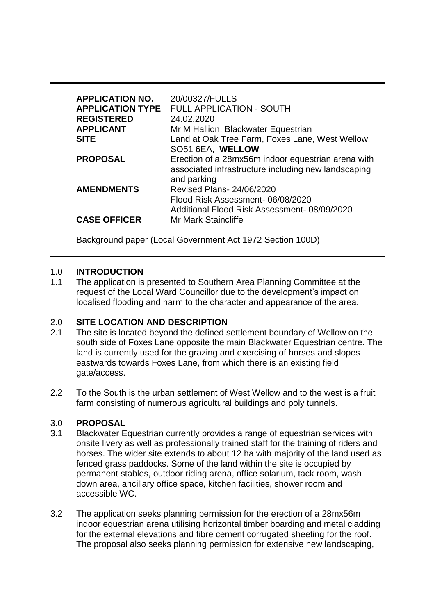| <b>APPLICATION NO.</b><br><b>APPLICATION TYPE</b><br><b>REGISTERED</b><br><b>APPLICANT</b><br><b>SITE</b> | 20/00327/FULLS<br>FULL APPLICATION - SOUTH<br>24.02.2020<br>Mr M Hallion, Blackwater Equestrian<br>Land at Oak Tree Farm, Foxes Lane, West Wellow, |
|-----------------------------------------------------------------------------------------------------------|----------------------------------------------------------------------------------------------------------------------------------------------------|
| <b>PROPOSAL</b>                                                                                           | SO51 6EA, WELLOW<br>Erection of a 28mx56m indoor equestrian arena with<br>associated infrastructure including new landscaping<br>and parking       |
| <b>AMENDMENTS</b>                                                                                         | Revised Plans- 24/06/2020<br>Flood Risk Assessment-06/08/2020<br>Additional Flood Risk Assessment-08/09/2020                                       |
| <b>CASE OFFICER</b>                                                                                       | Mr Mark Staincliffe                                                                                                                                |

Background paper (Local Government Act 1972 Section 100D)

# 1.0 **INTRODUCTION**

1.1 The application is presented to Southern Area Planning Committee at the request of the Local Ward Councillor due to the development's impact on localised flooding and harm to the character and appearance of the area.

# 2.0 **SITE LOCATION AND DESCRIPTION**

- 2.1 The site is located beyond the defined settlement boundary of Wellow on the south side of Foxes Lane opposite the main Blackwater Equestrian centre. The land is currently used for the grazing and exercising of horses and slopes eastwards towards Foxes Lane, from which there is an existing field gate/access.
- 2.2 To the South is the urban settlement of West Wellow and to the west is a fruit farm consisting of numerous agricultural buildings and poly tunnels.

# 3.0 **PROPOSAL**

- 3.1 Blackwater Equestrian currently provides a range of equestrian services with onsite livery as well as professionally trained staff for the training of riders and horses. The wider site extends to about 12 ha with majority of the land used as fenced grass paddocks. Some of the land within the site is occupied by permanent stables, outdoor riding arena, office solarium, tack room, wash down area, ancillary office space, kitchen facilities, shower room and accessible WC.
- 3.2 The application seeks planning permission for the erection of a 28mx56m indoor equestrian arena utilising horizontal timber boarding and metal cladding for the external elevations and fibre cement corrugated sheeting for the roof. The proposal also seeks planning permission for extensive new landscaping,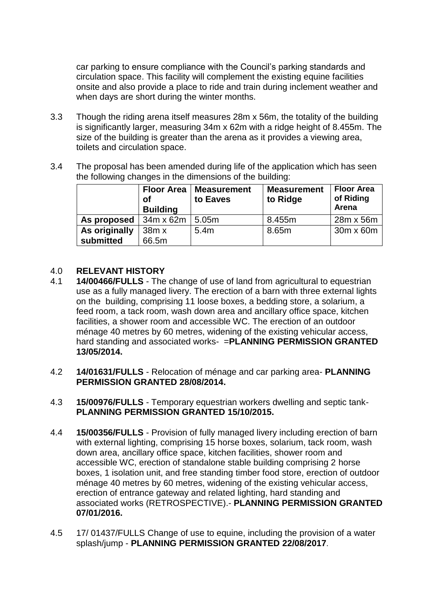car parking to ensure compliance with the Council's parking standards and circulation space. This facility will complement the existing equine facilities onsite and also provide a place to ride and train during inclement weather and when days are short during the winter months.

- 3.3 Though the riding arena itself measures 28m x 56m, the totality of the building is significantly larger, measuring 34m x 62m with a ridge height of 8.455m. The size of the building is greater than the arena as it provides a viewing area, toilets and circulation space.
- 3.4 The proposal has been amended during life of the application which has seen the following changes in the dimensions of the building:

|               | <b>Floor Area</b><br>οf<br><b>Building</b> | <b>Measurement</b><br>to Eaves | <b>Measurement</b><br>to Ridge | <b>Floor Area</b><br>of Riding<br>Arena |
|---------------|--------------------------------------------|--------------------------------|--------------------------------|-----------------------------------------|
| As proposed   | 34m x 62m                                  | 5.05m                          | 8.455m                         | 28m x 56m                               |
| As originally | 38m x                                      | 5.4m                           | 8.65m                          | 30m x 60m                               |
| submitted     | 66.5m                                      |                                |                                |                                         |

# 4.0 **RELEVANT HISTORY**

- 4.1 **14/00466/FULLS**  The change of use of land from agricultural to equestrian use as a fully managed livery. The erection of a barn with three external lights on the building, comprising 11 loose boxes, a bedding store, a solarium, a feed room, a tack room, wash down area and ancillary office space, kitchen facilities, a shower room and accessible WC. The erection of an outdoor ménage 40 metres by 60 metres, widening of the existing vehicular access, hard standing and associated works- =**PLANNING PERMISSION GRANTED 13/05/2014.**
- 4.2 **14/01631/FULLS**  Relocation of ménage and car parking area- **PLANNING PERMISSION GRANTED 28/08/2014.**
- 4.3 **15/00976/FULLS**  Temporary equestrian workers dwelling and septic tank-**PLANNING PERMISSION GRANTED 15/10/2015.**
- 4.4 **15/00356/FULLS**  Provision of fully managed livery including erection of barn with external lighting, comprising 15 horse boxes, solarium, tack room, wash down area, ancillary office space, kitchen facilities, shower room and accessible WC, erection of standalone stable building comprising 2 horse boxes, 1 isolation unit, and free standing timber food store, erection of outdoor ménage 40 metres by 60 metres, widening of the existing vehicular access, erection of entrance gateway and related lighting, hard standing and associated works (RETROSPECTIVE).- **PLANNING PERMISSION GRANTED 07/01/2016.**
- 4.5 17/ 01437/FULLS Change of use to equine, including the provision of a water splash/jump - **PLANNING PERMISSION GRANTED 22/08/2017**.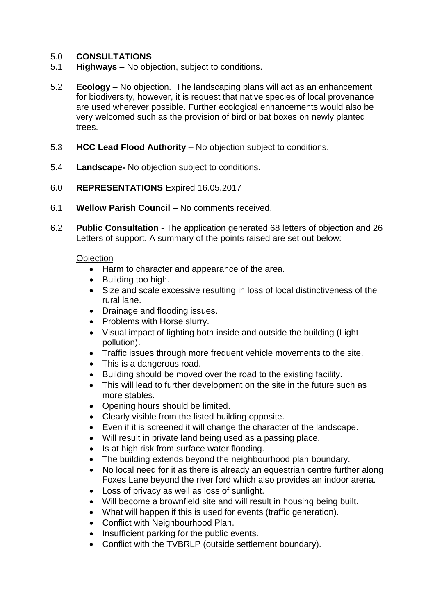# 5.0 **CONSULTATIONS**

- 5.1 **Highways**  No objection, subject to conditions.
- 5.2 **Ecology** No objection. The landscaping plans will act as an enhancement for biodiversity, however, it is request that native species of local provenance are used wherever possible. Further ecological enhancements would also be very welcomed such as the provision of bird or bat boxes on newly planted trees.
- 5.3 **HCC Lead Flood Authority –** No objection subject to conditions.
- 5.4 **Landscape-** No objection subject to conditions.
- 6.0 **REPRESENTATIONS** Expired 16.05.2017
- 6.1 **Wellow Parish Council** No comments received.
- 6.2 **Public Consultation -** The application generated 68 letters of objection and 26 Letters of support. A summary of the points raised are set out below:

#### **Objection**

- Harm to character and appearance of the area.
- Building too high.
- Size and scale excessive resulting in loss of local distinctiveness of the rural lane.
- Drainage and flooding issues.
- Problems with Horse slurry.
- Visual impact of lighting both inside and outside the building (Light pollution).
- Traffic issues through more frequent vehicle movements to the site.
- This is a dangerous road.
- Building should be moved over the road to the existing facility.
- This will lead to further development on the site in the future such as more stables.
- Opening hours should be limited.
- Clearly visible from the listed building opposite.
- Even if it is screened it will change the character of the landscape.
- Will result in private land being used as a passing place.
- Is at high risk from surface water flooding.
- The building extends beyond the neighbourhood plan boundary.
- No local need for it as there is already an equestrian centre further along Foxes Lane beyond the river ford which also provides an indoor arena.
- Loss of privacy as well as loss of sunlight.
- Will become a brownfield site and will result in housing being built.
- What will happen if this is used for events (traffic generation).
- Conflict with Neighbourhood Plan.
- Insufficient parking for the public events.
- Conflict with the TVBRLP (outside settlement boundary).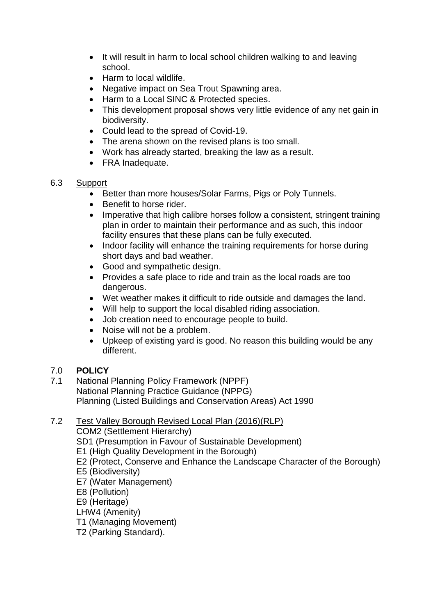- It will result in harm to local school children walking to and leaving school.
- Harm to local wildlife.
- Negative impact on Sea Trout Spawning area.
- Harm to a Local SINC & Protected species.
- This development proposal shows very little evidence of any net gain in biodiversity.
- Could lead to the spread of Covid-19.
- The arena shown on the revised plans is too small.
- Work has already started, breaking the law as a result.
- FRA Inadequate.

# 6.3 Support

- Better than more houses/Solar Farms, Pigs or Poly Tunnels.
- Benefit to horse rider.
- Imperative that high calibre horses follow a consistent, stringent training plan in order to maintain their performance and as such, this indoor facility ensures that these plans can be fully executed.
- Indoor facility will enhance the training requirements for horse during short days and bad weather.
- Good and sympathetic design.
- Provides a safe place to ride and train as the local roads are too dangerous.
- Wet weather makes it difficult to ride outside and damages the land.
- Will help to support the local disabled riding association.
- Job creation need to encourage people to build.
- Noise will not be a problem.
- Upkeep of existing yard is good. No reason this building would be any different.

# 7.0 **POLICY**

7.1 National Planning Policy Framework (NPPF) National Planning Practice Guidance (NPPG) Planning (Listed Buildings and Conservation Areas) Act 1990

# 7.2 Test Valley Borough Revised Local Plan (2016)(RLP)

COM2 (Settlement Hierarchy)

- SD1 (Presumption in Favour of Sustainable Development)
- E1 (High Quality Development in the Borough)
- E2 (Protect, Conserve and Enhance the Landscape Character of the Borough)
- E5 (Biodiversity)
- E7 (Water Management)
- E8 (Pollution)
- E9 (Heritage)
- LHW4 (Amenity)
- T1 (Managing Movement)
- T2 (Parking Standard).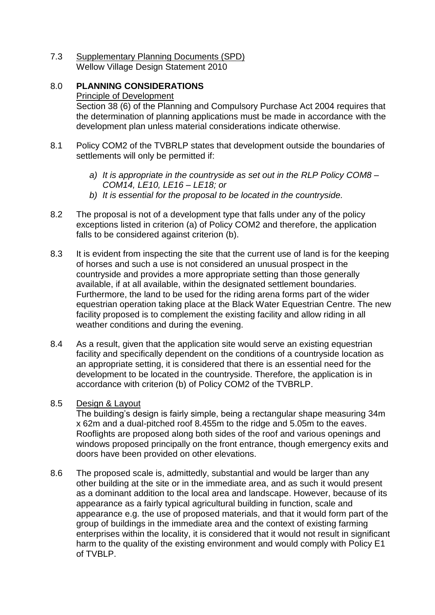7.3 Supplementary Planning Documents (SPD) Wellow Village Design Statement 2010

# 8.0 **PLANNING CONSIDERATIONS**

# Principle of Development

Section 38 (6) of the Planning and Compulsory Purchase Act 2004 requires that the determination of planning applications must be made in accordance with the development plan unless material considerations indicate otherwise.

- 8.1 Policy COM2 of the TVBRLP states that development outside the boundaries of settlements will only be permitted if:
	- *a) It is appropriate in the countryside as set out in the RLP Policy COM8 – COM14, LE10, LE16 – LE18; or*
	- *b) It is essential for the proposal to be located in the countryside.*
- 8.2 The proposal is not of a development type that falls under any of the policy exceptions listed in criterion (a) of Policy COM2 and therefore, the application falls to be considered against criterion (b).
- 8.3 It is evident from inspecting the site that the current use of land is for the keeping of horses and such a use is not considered an unusual prospect in the countryside and provides a more appropriate setting than those generally available, if at all available, within the designated settlement boundaries. Furthermore, the land to be used for the riding arena forms part of the wider equestrian operation taking place at the Black Water Equestrian Centre. The new facility proposed is to complement the existing facility and allow riding in all weather conditions and during the evening.
- 8.4 As a result, given that the application site would serve an existing equestrian facility and specifically dependent on the conditions of a countryside location as an appropriate setting, it is considered that there is an essential need for the development to be located in the countryside. Therefore, the application is in accordance with criterion (b) of Policy COM2 of the TVBRLP.

# 8.5 Design & Layout

The building's design is fairly simple, being a rectangular shape measuring 34m x 62m and a dual-pitched roof 8.455m to the ridge and 5.05m to the eaves. Rooflights are proposed along both sides of the roof and various openings and windows proposed principally on the front entrance, though emergency exits and doors have been provided on other elevations.

8.6 The proposed scale is, admittedly, substantial and would be larger than any other building at the site or in the immediate area, and as such it would present as a dominant addition to the local area and landscape. However, because of its appearance as a fairly typical agricultural building in function, scale and appearance e.g. the use of proposed materials, and that it would form part of the group of buildings in the immediate area and the context of existing farming enterprises within the locality, it is considered that it would not result in significant harm to the quality of the existing environment and would comply with Policy E1 of TVBLP.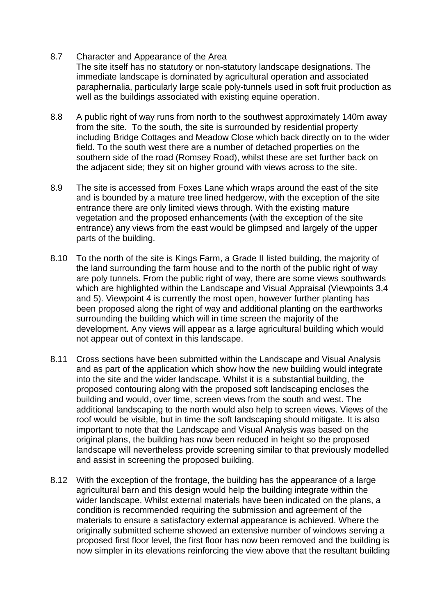# 8.7 Character and Appearance of the Area

The site itself has no statutory or non-statutory landscape designations. The immediate landscape is dominated by agricultural operation and associated paraphernalia, particularly large scale poly-tunnels used in soft fruit production as well as the buildings associated with existing equine operation.

- 8.8 A public right of way runs from north to the southwest approximately 140m away from the site. To the south, the site is surrounded by residential property including Bridge Cottages and Meadow Close which back directly on to the wider field. To the south west there are a number of detached properties on the southern side of the road (Romsey Road), whilst these are set further back on the adjacent side; they sit on higher ground with views across to the site.
- 8.9 The site is accessed from Foxes Lane which wraps around the east of the site and is bounded by a mature tree lined hedgerow, with the exception of the site entrance there are only limited views through. With the existing mature vegetation and the proposed enhancements (with the exception of the site entrance) any views from the east would be glimpsed and largely of the upper parts of the building.
- 8.10 To the north of the site is Kings Farm, a Grade II listed building, the majority of the land surrounding the farm house and to the north of the public right of way are poly tunnels. From the public right of way, there are some views southwards which are highlighted within the Landscape and Visual Appraisal (Viewpoints 3.4) and 5). Viewpoint 4 is currently the most open, however further planting has been proposed along the right of way and additional planting on the earthworks surrounding the building which will in time screen the majority of the development. Any views will appear as a large agricultural building which would not appear out of context in this landscape.
- 8.11 Cross sections have been submitted within the Landscape and Visual Analysis and as part of the application which show how the new building would integrate into the site and the wider landscape. Whilst it is a substantial building, the proposed contouring along with the proposed soft landscaping encloses the building and would, over time, screen views from the south and west. The additional landscaping to the north would also help to screen views. Views of the roof would be visible, but in time the soft landscaping should mitigate. It is also important to note that the Landscape and Visual Analysis was based on the original plans, the building has now been reduced in height so the proposed landscape will nevertheless provide screening similar to that previously modelled and assist in screening the proposed building.
- 8.12 With the exception of the frontage, the building has the appearance of a large agricultural barn and this design would help the building integrate within the wider landscape. Whilst external materials have been indicated on the plans, a condition is recommended requiring the submission and agreement of the materials to ensure a satisfactory external appearance is achieved. Where the originally submitted scheme showed an extensive number of windows serving a proposed first floor level, the first floor has now been removed and the building is now simpler in its elevations reinforcing the view above that the resultant building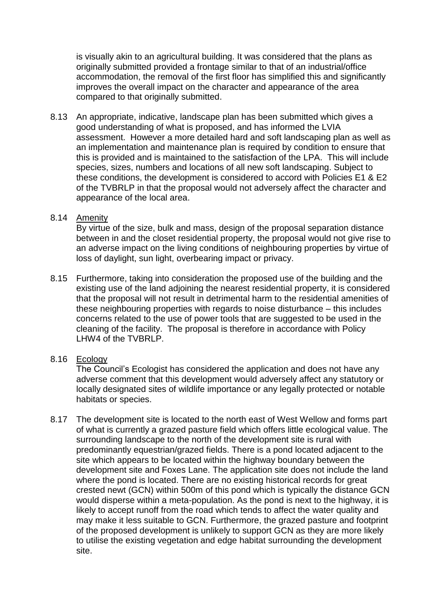is visually akin to an agricultural building. It was considered that the plans as originally submitted provided a frontage similar to that of an industrial/office accommodation, the removal of the first floor has simplified this and significantly improves the overall impact on the character and appearance of the area compared to that originally submitted.

8.13 An appropriate, indicative, landscape plan has been submitted which gives a good understanding of what is proposed, and has informed the LVIA assessment. However a more detailed hard and soft landscaping plan as well as an implementation and maintenance plan is required by condition to ensure that this is provided and is maintained to the satisfaction of the LPA. This will include species, sizes, numbers and locations of all new soft landscaping. Subject to these conditions, the development is considered to accord with Policies E1 & E2 of the TVBRLP in that the proposal would not adversely affect the character and appearance of the local area.

# 8.14 Amenity

By virtue of the size, bulk and mass, design of the proposal separation distance between in and the closet residential property, the proposal would not give rise to an adverse impact on the living conditions of neighbouring properties by virtue of loss of daylight, sun light, overbearing impact or privacy.

8.15 Furthermore, taking into consideration the proposed use of the building and the existing use of the land adjoining the nearest residential property, it is considered that the proposal will not result in detrimental harm to the residential amenities of these neighbouring properties with regards to noise disturbance – this includes concerns related to the use of power tools that are suggested to be used in the cleaning of the facility. The proposal is therefore in accordance with Policy LHW4 of the TVBRLP.

# 8.16 Ecology

The Council's Ecologist has considered the application and does not have any adverse comment that this development would adversely affect any statutory or locally designated sites of wildlife importance or any legally protected or notable habitats or species.

8.17 The development site is located to the north east of West Wellow and forms part of what is currently a grazed pasture field which offers little ecological value. The surrounding landscape to the north of the development site is rural with predominantly equestrian/grazed fields. There is a pond located adjacent to the site which appears to be located within the highway boundary between the development site and Foxes Lane. The application site does not include the land where the pond is located. There are no existing historical records for great crested newt (GCN) within 500m of this pond which is typically the distance GCN would disperse within a meta-population. As the pond is next to the highway, it is likely to accept runoff from the road which tends to affect the water quality and may make it less suitable to GCN. Furthermore, the grazed pasture and footprint of the proposed development is unlikely to support GCN as they are more likely to utilise the existing vegetation and edge habitat surrounding the development site.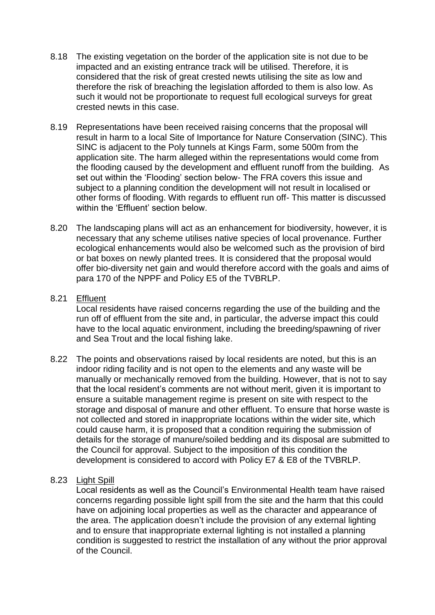- 8.18 The existing vegetation on the border of the application site is not due to be impacted and an existing entrance track will be utilised. Therefore, it is considered that the risk of great crested newts utilising the site as low and therefore the risk of breaching the legislation afforded to them is also low. As such it would not be proportionate to request full ecological surveys for great crested newts in this case.
- 8.19 Representations have been received raising concerns that the proposal will result in harm to a local Site of Importance for Nature Conservation (SINC). This SINC is adjacent to the Poly tunnels at Kings Farm, some 500m from the application site. The harm alleged within the representations would come from the flooding caused by the development and effluent runoff from the building. As set out within the 'Flooding' section below- The FRA covers this issue and subject to a planning condition the development will not result in localised or other forms of flooding. With regards to effluent run off- This matter is discussed within the 'Fffluent' section below
- 8.20 The landscaping plans will act as an enhancement for biodiversity, however, it is necessary that any scheme utilises native species of local provenance. Further ecological enhancements would also be welcomed such as the provision of bird or bat boxes on newly planted trees. It is considered that the proposal would offer bio-diversity net gain and would therefore accord with the goals and aims of para 170 of the NPPF and Policy E5 of the TVBRLP.

# 8.21 Effluent

Local residents have raised concerns regarding the use of the building and the run off of effluent from the site and, in particular, the adverse impact this could have to the local aquatic environment, including the breeding/spawning of river and Sea Trout and the local fishing lake.

- 8.22 The points and observations raised by local residents are noted, but this is an indoor riding facility and is not open to the elements and any waste will be manually or mechanically removed from the building. However, that is not to say that the local resident's comments are not without merit, given it is important to ensure a suitable management regime is present on site with respect to the storage and disposal of manure and other effluent. To ensure that horse waste is not collected and stored in inappropriate locations within the wider site, which could cause harm, it is proposed that a condition requiring the submission of details for the storage of manure/soiled bedding and its disposal are submitted to the Council for approval. Subject to the imposition of this condition the development is considered to accord with Policy E7 & E8 of the TVBRLP.
- 8.23 Light Spill

Local residents as well as the Council's Environmental Health team have raised concerns regarding possible light spill from the site and the harm that this could have on adjoining local properties as well as the character and appearance of the area. The application doesn't include the provision of any external lighting and to ensure that inappropriate external lighting is not installed a planning condition is suggested to restrict the installation of any without the prior approval of the Council.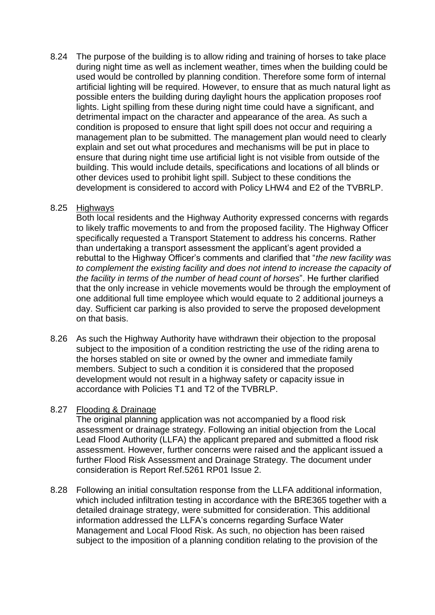8.24 The purpose of the building is to allow riding and training of horses to take place during night time as well as inclement weather, times when the building could be used would be controlled by planning condition. Therefore some form of internal artificial lighting will be required. However, to ensure that as much natural light as possible enters the building during daylight hours the application proposes roof lights. Light spilling from these during night time could have a significant, and detrimental impact on the character and appearance of the area. As such a condition is proposed to ensure that light spill does not occur and requiring a management plan to be submitted. The management plan would need to clearly explain and set out what procedures and mechanisms will be put in place to ensure that during night time use artificial light is not visible from outside of the building. This would include details, specifications and locations of all blinds or other devices used to prohibit light spill. Subject to these conditions the development is considered to accord with Policy LHW4 and E2 of the TVBRLP.

# 8.25 Highways

Both local residents and the Highway Authority expressed concerns with regards to likely traffic movements to and from the proposed facility. The Highway Officer specifically requested a Transport Statement to address his concerns. Rather than undertaking a transport assessment the applicant's agent provided a rebuttal to the Highway Officer's comments and clarified that "*the new facility was to complement the existing facility and does not intend to increase the capacity of the facility in terms of the number of head count of horses*". He further clarified that the only increase in vehicle movements would be through the employment of one additional full time employee which would equate to 2 additional journeys a day. Sufficient car parking is also provided to serve the proposed development on that basis.

8.26 As such the Highway Authority have withdrawn their objection to the proposal subject to the imposition of a condition restricting the use of the riding arena to the horses stabled on site or owned by the owner and immediate family members. Subject to such a condition it is considered that the proposed development would not result in a highway safety or capacity issue in accordance with Policies T1 and T2 of the TVBRLP.

# 8.27 Flooding & Drainage

The original planning application was not accompanied by a flood risk assessment or drainage strategy. Following an initial objection from the Local Lead Flood Authority (LLFA) the applicant prepared and submitted a flood risk assessment. However, further concerns were raised and the applicant issued a further Flood Risk Assessment and Drainage Strategy. The document under consideration is Report Ref.5261 RP01 Issue 2.

8.28 Following an initial consultation response from the LLFA additional information, which included infiltration testing in accordance with the BRE365 together with a detailed drainage strategy, were submitted for consideration. This additional information addressed the LLFA's concerns regarding Surface Water Management and Local Flood Risk. As such, no objection has been raised subject to the imposition of a planning condition relating to the provision of the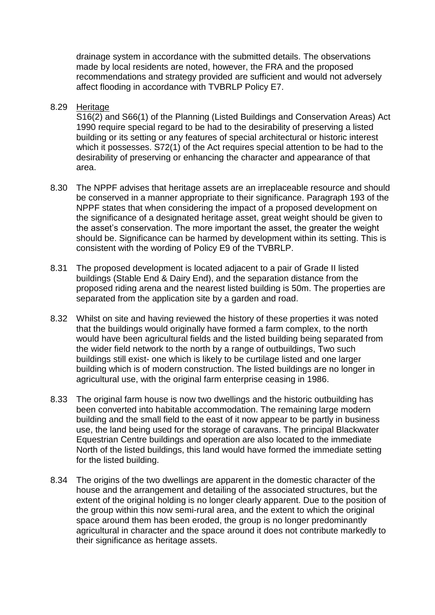drainage system in accordance with the submitted details. The observations made by local residents are noted, however, the FRA and the proposed recommendations and strategy provided are sufficient and would not adversely affect flooding in accordance with TVBRLP Policy E7.

#### 8.29 Heritage

S16(2) and S66(1) of the Planning (Listed Buildings and Conservation Areas) Act 1990 require special regard to be had to the desirability of preserving a listed building or its setting or any features of special architectural or historic interest which it possesses. S72(1) of the Act requires special attention to be had to the desirability of preserving or enhancing the character and appearance of that area.

- 8.30 The NPPF advises that heritage assets are an irreplaceable resource and should be conserved in a manner appropriate to their significance. Paragraph 193 of the NPPF states that when considering the impact of a proposed development on the significance of a designated heritage asset, great weight should be given to the asset's conservation. The more important the asset, the greater the weight should be. Significance can be harmed by development within its setting. This is consistent with the wording of Policy E9 of the TVBRLP.
- 8.31 The proposed development is located adjacent to a pair of Grade II listed buildings (Stable End & Dairy End), and the separation distance from the proposed riding arena and the nearest listed building is 50m. The properties are separated from the application site by a garden and road.
- 8.32 Whilst on site and having reviewed the history of these properties it was noted that the buildings would originally have formed a farm complex, to the north would have been agricultural fields and the listed building being separated from the wider field network to the north by a range of outbuildings, Two such buildings still exist- one which is likely to be curtilage listed and one larger building which is of modern construction. The listed buildings are no longer in agricultural use, with the original farm enterprise ceasing in 1986.
- 8.33 The original farm house is now two dwellings and the historic outbuilding has been converted into habitable accommodation. The remaining large modern building and the small field to the east of it now appear to be partly in business use, the land being used for the storage of caravans. The principal Blackwater Equestrian Centre buildings and operation are also located to the immediate North of the listed buildings, this land would have formed the immediate setting for the listed building.
- 8.34 The origins of the two dwellings are apparent in the domestic character of the house and the arrangement and detailing of the associated structures, but the extent of the original holding is no longer clearly apparent. Due to the position of the group within this now semi-rural area, and the extent to which the original space around them has been eroded, the group is no longer predominantly agricultural in character and the space around it does not contribute markedly to their significance as heritage assets.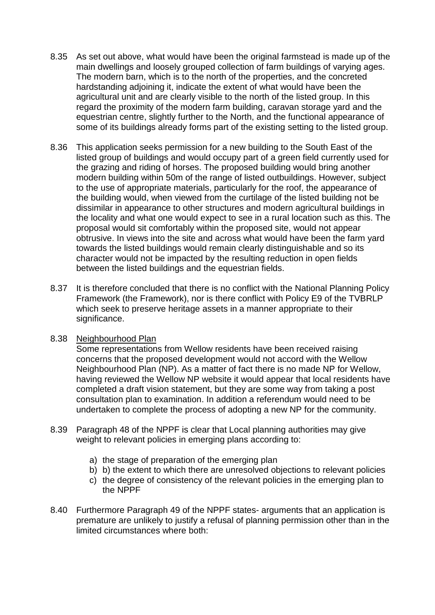- 8.35 As set out above, what would have been the original farmstead is made up of the main dwellings and loosely grouped collection of farm buildings of varying ages. The modern barn, which is to the north of the properties, and the concreted hardstanding adjoining it, indicate the extent of what would have been the agricultural unit and are clearly visible to the north of the listed group. In this regard the proximity of the modern farm building, caravan storage yard and the equestrian centre, slightly further to the North, and the functional appearance of some of its buildings already forms part of the existing setting to the listed group.
- 8.36 This application seeks permission for a new building to the South East of the listed group of buildings and would occupy part of a green field currently used for the grazing and riding of horses. The proposed building would bring another modern building within 50m of the range of listed outbuildings. However, subject to the use of appropriate materials, particularly for the roof, the appearance of the building would, when viewed from the curtilage of the listed building not be dissimilar in appearance to other structures and modern agricultural buildings in the locality and what one would expect to see in a rural location such as this. The proposal would sit comfortably within the proposed site, would not appear obtrusive. In views into the site and across what would have been the farm yard towards the listed buildings would remain clearly distinguishable and so its character would not be impacted by the resulting reduction in open fields between the listed buildings and the equestrian fields.
- 8.37 It is therefore concluded that there is no conflict with the National Planning Policy Framework (the Framework), nor is there conflict with Policy E9 of the TVBRLP which seek to preserve heritage assets in a manner appropriate to their significance.

# 8.38 Neighbourhood Plan

Some representations from Wellow residents have been received raising concerns that the proposed development would not accord with the Wellow Neighbourhood Plan (NP). As a matter of fact there is no made NP for Wellow, having reviewed the Wellow NP website it would appear that local residents have completed a draft vision statement, but they are some way from taking a post consultation plan to examination. In addition a referendum would need to be undertaken to complete the process of adopting a new NP for the community.

- 8.39 Paragraph 48 of the NPPF is clear that Local planning authorities may give weight to relevant policies in emerging plans according to:
	- a) the stage of preparation of the emerging plan
	- b) b) the extent to which there are unresolved objections to relevant policies
	- c) the degree of consistency of the relevant policies in the emerging plan to the NPPF
- 8.40 Furthermore Paragraph 49 of the NPPF states- arguments that an application is premature are unlikely to justify a refusal of planning permission other than in the limited circumstances where both: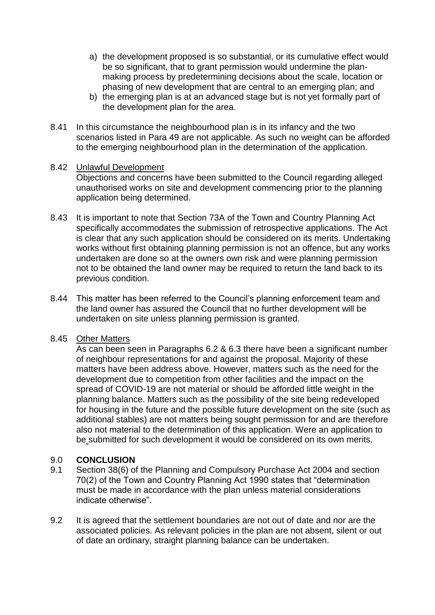- a) the development proposed is so substantial, or its cumulative effect would be so significant, that to grant permission would undermine the planmaking process by predetermining decisions about the scale, location or phasing of new development that are central to an emerging plan; and
- b) the emerging plan is at an advanced stage but is not yet formally part of the development plan for the area.
- 8.41 In this circumstance the neighbourhood plan is in its infancy and the two scenarios listed in Para 49 are not applicable. As such no weight can be afforded to the emerging neighbourhood plan in the determination of the application.

# 8.42 Unlawful Development

Objections and concerns have been submitted to the Council regarding alleged unauthorised works on site and development commencing prior to the planning application being determined.

- 8.43 It is important to note that Section 73A of the Town and Country Planning Act specifically accommodates the submission of retrospective applications. The Act is clear that any such application should be considered on its merits. Undertaking works without first obtaining planning permission is not an offence, but any works undertaken are done so at the owners own risk and were planning permission not to be obtained the land owner may be required to return the land back to its previous condition.
- 8.44 This matter has been referred to the Council's planning enforcement team and the land owner has assured the Council that no further development will be undertaken on site unless planning permission is granted.

# 8.45 Other Matters

As can been seen in Paragraphs 6.2 & 6.3 there have been a significant number of neighbour representations for and against the proposal. Majority of these matters have been address above. However, matters such as the need for the development due to competition from other facilities and the impact on the spread of COVID-19 are not material or should be afforded little weight in the planning balance. Matters such as the possibility of the site being redeveloped for housing in the future and the possible future development on the site (such as additional stables) are not matters being sought permission for and are therefore also not material to the determination of this application. Were an application to be submitted for such development it would be considered on its own merits.

# 9.0 **CONCLUSION**

- 9.1 Section 38(6) of the Planning and Compulsory Purchase Act 2004 and section 70(2) of the Town and Country Planning Act 1990 states that "determination must be made in accordance with the plan unless material considerations indicate otherwise".
- 9.2 It is agreed that the settlement boundaries are not out of date and nor are the associated policies. As relevant policies in the plan are not absent, silent or out of date an ordinary, straight planning balance can be undertaken.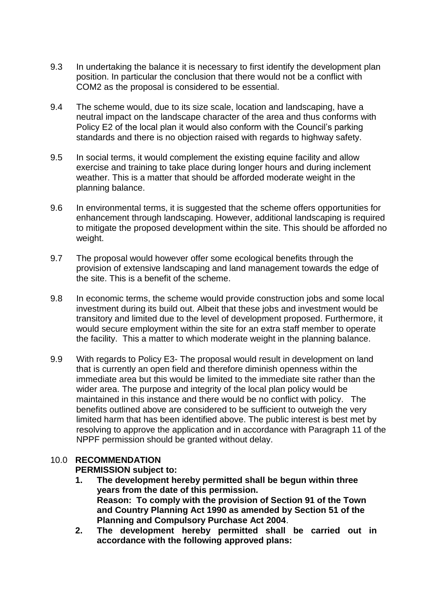- 9.3 In undertaking the balance it is necessary to first identify the development plan position. In particular the conclusion that there would not be a conflict with COM2 as the proposal is considered to be essential.
- 9.4 The scheme would, due to its size scale, location and landscaping, have a neutral impact on the landscape character of the area and thus conforms with Policy E2 of the local plan it would also conform with the Council's parking standards and there is no objection raised with regards to highway safety.
- 9.5 In social terms, it would complement the existing equine facility and allow exercise and training to take place during longer hours and during inclement weather. This is a matter that should be afforded moderate weight in the planning balance.
- 9.6 In environmental terms, it is suggested that the scheme offers opportunities for enhancement through landscaping. However, additional landscaping is required to mitigate the proposed development within the site. This should be afforded no weight.
- 9.7 The proposal would however offer some ecological benefits through the provision of extensive landscaping and land management towards the edge of the site. This is a benefit of the scheme.
- 9.8 In economic terms, the scheme would provide construction jobs and some local investment during its build out. Albeit that these jobs and investment would be transitory and limited due to the level of development proposed. Furthermore, it would secure employment within the site for an extra staff member to operate the facility. This a matter to which moderate weight in the planning balance.
- 9.9 With regards to Policy E3- The proposal would result in development on land that is currently an open field and therefore diminish openness within the immediate area but this would be limited to the immediate site rather than the wider area. The purpose and integrity of the local plan policy would be maintained in this instance and there would be no conflict with policy. The benefits outlined above are considered to be sufficient to outweigh the very limited harm that has been identified above. The public interest is best met by resolving to approve the application and in accordance with Paragraph 11 of the NPPF permission should be granted without delay.

# 10.0 **RECOMMENDATION**

# **PERMISSION subject to:**

- **1. The development hereby permitted shall be begun within three years from the date of this permission. Reason: To comply with the provision of Section 91 of the Town and Country Planning Act 1990 as amended by Section 51 of the Planning and Compulsory Purchase Act 2004**.
- **2. The development hereby permitted shall be carried out in accordance with the following approved plans:**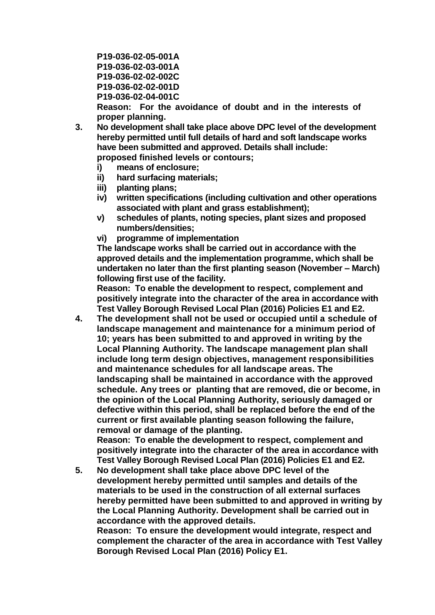**P19-036-02-05-001A P19-036-02-03-001A P19-036-02-02-002C P19-036-02-02-001D P19-036-02-04-001C**

**Reason: For the avoidance of doubt and in the interests of proper planning.**

- **3. No development shall take place above DPC level of the development hereby permitted until full details of hard and soft landscape works have been submitted and approved. Details shall include: proposed finished levels or contours;** 
	- **i) means of enclosure;**
	- **ii) hard surfacing materials;**
	- **iii) planting plans;**
	- **iv) written specifications (including cultivation and other operations associated with plant and grass establishment);**
	- **v) schedules of plants, noting species, plant sizes and proposed numbers/densities;**
	- **vi) programme of implementation**

**The landscape works shall be carried out in accordance with the approved details and the implementation programme, which shall be undertaken no later than the first planting season (November – March) following first use of the facility.**

**Reason: To enable the development to respect, complement and positively integrate into the character of the area in accordance with Test Valley Borough Revised Local Plan (2016) Policies E1 and E2.**

**4. The development shall not be used or occupied until a schedule of landscape management and maintenance for a minimum period of 10; years has been submitted to and approved in writing by the Local Planning Authority. The landscape management plan shall include long term design objectives, management responsibilities and maintenance schedules for all landscape areas. The landscaping shall be maintained in accordance with the approved schedule. Any trees or planting that are removed, die or become, in the opinion of the Local Planning Authority, seriously damaged or defective within this period, shall be replaced before the end of the current or first available planting season following the failure, removal or damage of the planting.**

**Reason: To enable the development to respect, complement and positively integrate into the character of the area in accordance with Test Valley Borough Revised Local Plan (2016) Policies E1 and E2.**

**5. No development shall take place above DPC level of the development hereby permitted until samples and details of the materials to be used in the construction of all external surfaces hereby permitted have been submitted to and approved in writing by the Local Planning Authority. Development shall be carried out in accordance with the approved details.**

**Reason: To ensure the development would integrate, respect and complement the character of the area in accordance with Test Valley Borough Revised Local Plan (2016) Policy E1.**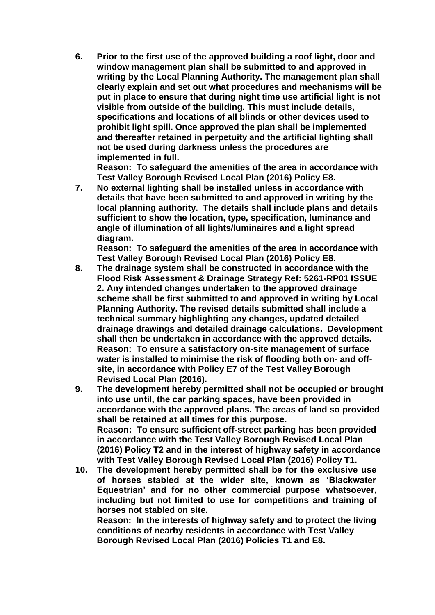**6. Prior to the first use of the approved building a roof light, door and window management plan shall be submitted to and approved in writing by the Local Planning Authority. The management plan shall clearly explain and set out what procedures and mechanisms will be put in place to ensure that during night time use artificial light is not visible from outside of the building. This must include details, specifications and locations of all blinds or other devices used to prohibit light spill. Once approved the plan shall be implemented and thereafter retained in perpetuity and the artificial lighting shall not be used during darkness unless the procedures are implemented in full.** 

**Reason: To safeguard the amenities of the area in accordance with Test Valley Borough Revised Local Plan (2016) Policy E8.**

**7. No external lighting shall be installed unless in accordance with details that have been submitted to and approved in writing by the local planning authority. The details shall include plans and details sufficient to show the location, type, specification, luminance and angle of illumination of all lights/luminaires and a light spread diagram.**

**Reason: To safeguard the amenities of the area in accordance with Test Valley Borough Revised Local Plan (2016) Policy E8.**

- **8. The drainage system shall be constructed in accordance with the Flood Risk Assessment & Drainage Strategy Ref: 5261-RP01 ISSUE 2. Any intended changes undertaken to the approved drainage scheme shall be first submitted to and approved in writing by Local Planning Authority. The revised details submitted shall include a technical summary highlighting any changes, updated detailed drainage drawings and detailed drainage calculations. Development shall then be undertaken in accordance with the approved details. Reason: To ensure a satisfactory on-site management of surface water is installed to minimise the risk of flooding both on- and offsite, in accordance with Policy E7 of the Test Valley Borough Revised Local Plan (2016).**
- **9. The development hereby permitted shall not be occupied or brought into use until, the car parking spaces, have been provided in accordance with the approved plans. The areas of land so provided shall be retained at all times for this purpose. Reason: To ensure sufficient off-street parking has been provided in accordance with the Test Valley Borough Revised Local Plan (2016) Policy T2 and in the interest of highway safety in accordance with Test Valley Borough Revised Local Plan (2016) Policy T1.**
- **10. The development hereby permitted shall be for the exclusive use of horses stabled at the wider site, known as 'Blackwater Equestrian' and for no other commercial purpose whatsoever, including but not limited to use for competitions and training of horses not stabled on site. Reason: In the interests of highway safety and to protect the living**

**conditions of nearby residents in accordance with Test Valley Borough Revised Local Plan (2016) Policies T1 and E8.**